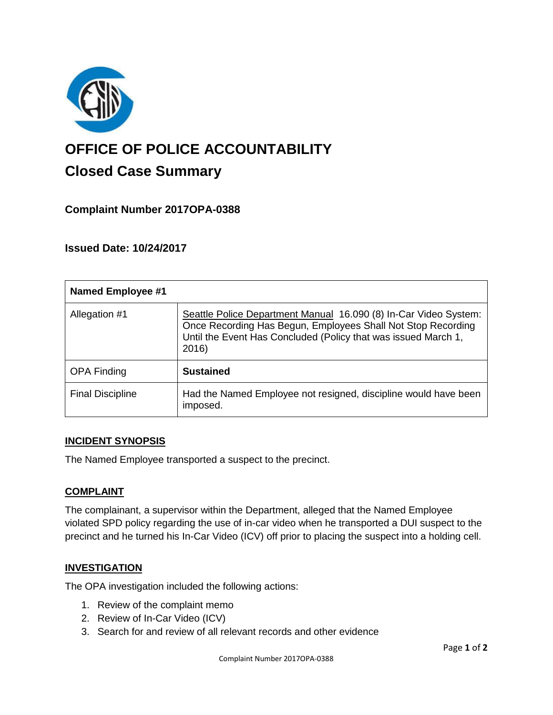

# **OFFICE OF POLICE ACCOUNTABILITY**

# **Closed Case Summary**

# **Complaint Number 2017OPA-0388**

# **Issued Date: 10/24/2017**

| <b>Named Employee #1</b> |                                                                                                                                                                                                             |
|--------------------------|-------------------------------------------------------------------------------------------------------------------------------------------------------------------------------------------------------------|
| Allegation #1            | Seattle Police Department Manual 16.090 (8) In-Car Video System:<br>Once Recording Has Begun, Employees Shall Not Stop Recording<br>Until the Event Has Concluded (Policy that was issued March 1,<br>2016) |
| <b>OPA Finding</b>       | <b>Sustained</b>                                                                                                                                                                                            |
| <b>Final Discipline</b>  | Had the Named Employee not resigned, discipline would have been<br>imposed.                                                                                                                                 |

#### **INCIDENT SYNOPSIS**

The Named Employee transported a suspect to the precinct.

### **COMPLAINT**

The complainant, a supervisor within the Department, alleged that the Named Employee violated SPD policy regarding the use of in-car video when he transported a DUI suspect to the precinct and he turned his In-Car Video (ICV) off prior to placing the suspect into a holding cell.

### **INVESTIGATION**

The OPA investigation included the following actions:

- 1. Review of the complaint memo
- 2. Review of In-Car Video (ICV)
- 3. Search for and review of all relevant records and other evidence